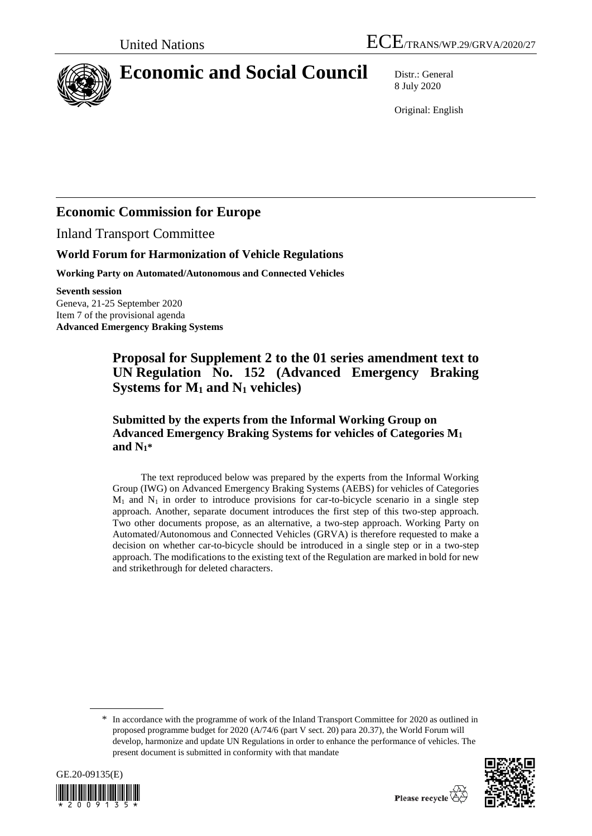

# **Economic and Social Council** Distr.: General

8 July 2020

Original: English

## **Economic Commission for Europe**

Inland Transport Committee

## **World Forum for Harmonization of Vehicle Regulations**

**Working Party on Automated/Autonomous and Connected Vehicles**

**Seventh session**

Geneva, 21-25 September 2020 Item 7 of the provisional agenda **Advanced Emergency Braking Systems**

## **Proposal for Supplement 2 to the 01 series amendment text to UN Regulation No. 152 (Advanced Emergency Braking Systems for M<sup>1</sup> and N<sup>1</sup> vehicles)**

## **Submitted by the experts from the Informal Working Group on Advanced Emergency Braking Systems for vehicles of Categories M<sup>1</sup> and N1\***

The text reproduced below was prepared by the experts from the Informal Working Group (IWG) on Advanced Emergency Braking Systems (AEBS) for vehicles of Categories  $M_1$  and  $N_1$  in order to introduce provisions for car-to-bicycle scenario in a single step approach. Another, separate document introduces the first step of this two-step approach. Two other documents propose, as an alternative, a two-step approach. Working Party on Automated/Autonomous and Connected Vehicles (GRVA) is therefore requested to make a decision on whether car-to-bicycle should be introduced in a single step or in a two-step approach. The modifications to the existing text of the Regulation are marked in bold for new and strikethrough for deleted characters.

\* In accordance with the programme of work of the Inland Transport Committee for 2020 as outlined in proposed programme budget for 2020 (A/74/6 (part V sect. 20) para 20.37), the World Forum will develop, harmonize and update UN Regulations in order to enhance the performance of vehicles. The present document is submitted in conformity with that mandate



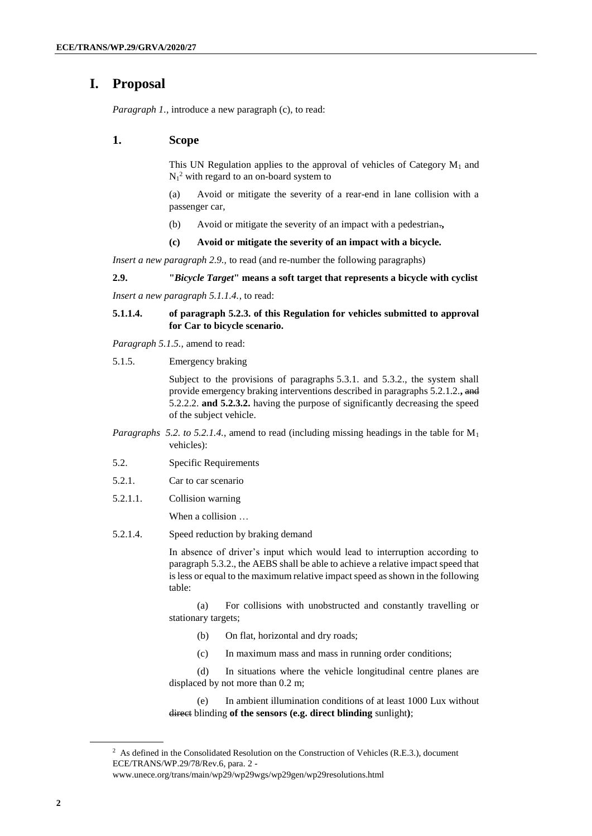## **I. Proposal**

*Paragraph 1., introduce a new paragraph (c), to read:* 

### **1. Scope**

This UN Regulation applies to the approval of vehicles of Category  $M_1$  and  $N_1^2$  with regard to an on-board system to

(a) Avoid or mitigate the severity of a rear-end in lane collision with a passenger car,

(b) Avoid or mitigate the severity of an impact with a pedestrian.**,**

#### **(c) Avoid or mitigate the severity of an impact with a bicycle.**

*Insert a new paragraph 2.9.,* to read (and re-number the following paragraphs)

## **2.9. "***Bicycle Target***" means a soft target that represents a bicycle with cyclist**

*Insert a new paragraph 5.1.1.4.*, to read:

### **5.1.1.4. of paragraph 5.2.3. of this Regulation for vehicles submitted to approval for Car to bicycle scenario.**

*Paragraph 5.1.5.,* amend to read:

5.1.5. Emergency braking

Subject to the provisions of paragraphs 5.3.1. and 5.3.2., the system shall provide emergency braking interventions described in paragraphs 5.2.1.2.**,** and 5.2.2.2. **and 5.2.3.2.** having the purpose of significantly decreasing the speed of the subject vehicle.

- *Paragraphs 5.2. to 5.2.1.4.*, amend to read (including missing headings in the table for M<sup>1</sup> vehicles):
- 5.2. Specific Requirements
- 5.2.1. Car to car scenario
- 5.2.1.1. Collision warning

When a collision …

5.2.1.4. Speed reduction by braking demand

In absence of driver's input which would lead to interruption according to paragraph 5.3.2., the AEBS shall be able to achieve a relative impact speed that is less or equal to the maximum relative impact speed as shown in the following table:

(a) For collisions with unobstructed and constantly travelling or stationary targets;

- (b) On flat, horizontal and dry roads;
- (c) In maximum mass and mass in running order conditions;

(d) In situations where the vehicle longitudinal centre planes are displaced by not more than 0.2 m;

(e) In ambient illumination conditions of at least 1000 Lux without direct blinding **of the sensors (e.g. direct blinding** sunlight**)**;

<sup>&</sup>lt;sup>2</sup> As defined in the Consolidated Resolution on the Construction of Vehicles (R.E.3.), document ECE/TRANS/WP.29/78/Rev.6, para. 2 -

www.unece.org/trans/main/wp29/wp29wgs/wp29gen/wp29resolutions.html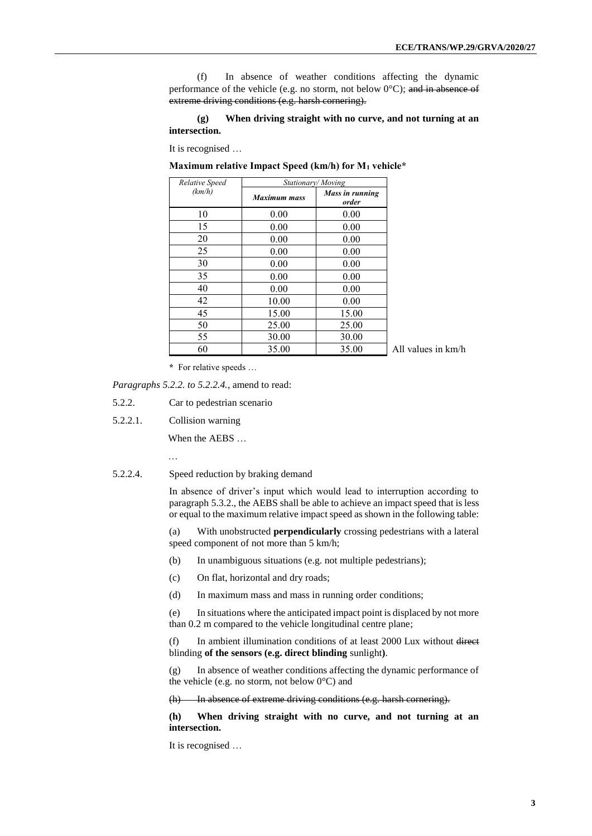(f) In absence of weather conditions affecting the dynamic performance of the vehicle (e.g. no storm, not below  $0^{\circ}$ C); and in absence of extreme driving conditions (e.g. harsh cornering).

#### **(g) When driving straight with no curve, and not turning at an intersection.**

It is recognised …

**Maximum relative Impact Speed (km/h) for M<sup>1</sup> vehicle\***

| <b>Relative Speed</b> | Stationary/Moving   |                          |
|-----------------------|---------------------|--------------------------|
| (km/h)                | <b>Maximum mass</b> | Mass in running<br>order |
| 10                    | 0.00                | 0.00                     |
| 15                    | 0.00                | 0.00                     |
| 20                    | 0.00                | 0.00                     |
| 25                    | 0.00                | 0.00                     |
| 30                    | 0.00                | 0.00                     |
| 35                    | 0.00                | 0.00                     |
| 40                    | 0.00                | 0.00                     |
| 42                    | 10.00               | 0.00                     |
| 45                    | 15.00               | 15.00                    |
| 50                    | 25.00               | 25.00                    |
| 55                    | 30.00               | 30.00                    |
| 60                    | 35.00               | 35.00                    |

All values in km/h

**\*** For relative speeds …

*Paragraphs 5.2.2. to 5.2.2.4.*, amend to read:

- 5.2.2. Car to pedestrian scenario
- 5.2.2.1. Collision warning

When the AEBS …

…

5.2.2.4. Speed reduction by braking demand

In absence of driver's input which would lead to interruption according to paragraph 5.3.2., the AEBS shall be able to achieve an impact speed that is less or equal to the maximum relative impact speed as shown in the following table:

(a) With unobstructed **perpendicularly** crossing pedestrians with a lateral speed component of not more than 5 km/h;

- (b) In unambiguous situations (e.g. not multiple pedestrians);
- (c) On flat, horizontal and dry roads;
- (d) In maximum mass and mass in running order conditions;

(e) In situations where the anticipated impact point is displaced by not more than 0.2 m compared to the vehicle longitudinal centre plane;

(f) In ambient illumination conditions of at least 2000 Lux without direct blinding **of the sensors (e.g. direct blinding** sunlight**)**.

(g) In absence of weather conditions affecting the dynamic performance of the vehicle (e.g. no storm, not below  $0^{\circ}$ C) and

(h) In absence of extreme driving conditions (e.g. harsh cornering).

**(h) When driving straight with no curve, and not turning at an intersection.**

It is recognised …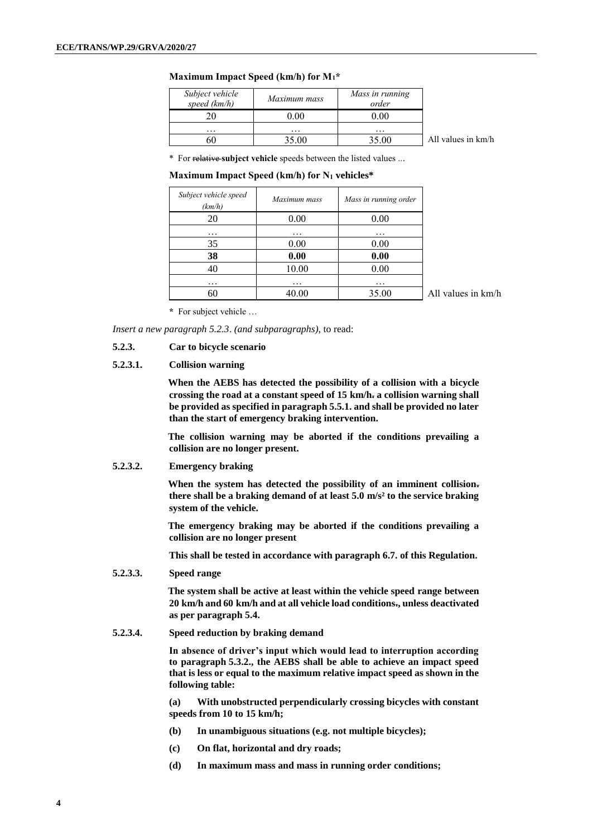#### **Maximum Impact Speed (km/h) for M1\***

| Subject vehicle<br>speed $(km/h)$ | Maximum mass | Mass in running<br>order |                    |
|-----------------------------------|--------------|--------------------------|--------------------|
|                                   | 0.00         | 0.00                     |                    |
| $\cdots$                          | $\cdots$     | $\cdots$                 |                    |
| 60                                | 35.00        | 35.00                    | All values in km/h |

\* For relative **subject vehicle** speeds between the listed values ...

**Maximum Impact Speed (km/h) for N<sup>1</sup> vehicles\***

| Subject vehicle speed<br>(km/h) | Maximum mass | Mass in running order |
|---------------------------------|--------------|-----------------------|
| 20                              | 0.00         | 0.00                  |
| $\cdots$                        | $\cdots$     | $\cdots$              |
| 35                              | 0.00         | 0.00                  |
| 38                              | 0.00         | 0.00                  |
| 40                              | 10.00        | 0.00                  |
| $\cdots$                        | $\cdots$     | $\cdots$              |
|                                 | 40.00        | 35.00                 |

All values in km/h

**\*** For subject vehicle …

*Insert a new paragraph 5.2.3*. *(and subparagraphs)*, to read:

### **5.2.3. Car to bicycle scenario**

#### **5.2.3.1. Collision warning**

**When the AEBS has detected the possibility of a collision with a bicycle crossing the road at a constant speed of 15 km/h. a collision warning shall be provided as specified in paragraph 5.5.1. and shall be provided no later than the start of emergency braking intervention.**

**The collision warning may be aborted if the conditions prevailing a collision are no longer present.**

#### **5.2.3.2. Emergency braking**

**When the system has detected the possibility of an imminent collision. there shall be a braking demand of at least 5.0 m/s² to the service braking system of the vehicle.**

**The emergency braking may be aborted if the conditions prevailing a collision are no longer present**

**This shall be tested in accordance with paragraph 6.7. of this Regulation.** 

**5.2.3.3. Speed range**

**The system shall be active at least within the vehicle speed range between 20 km/h and 60 km/h and at all vehicle load conditions., unless deactivated as per paragraph 5.4.** 

#### **5.2.3.4. Speed reduction by braking demand**

**In absence of driver's input which would lead to interruption according to paragraph 5.3.2., the AEBS shall be able to achieve an impact speed that is less or equal to the maximum relative impact speed as shown in the following table:**

**(a) With unobstructed perpendicularly crossing bicycles with constant speeds from 10 to 15 km/h;**

- **(b) In unambiguous situations (e.g. not multiple bicycles);**
- **(c) On flat, horizontal and dry roads;**
- **(d) In maximum mass and mass in running order conditions;**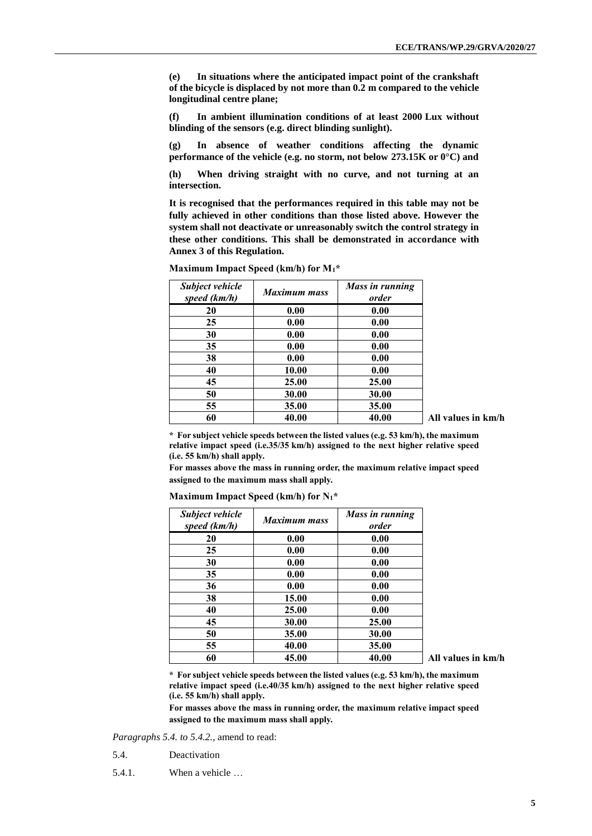**(e) In situations where the anticipated impact point of the crankshaft of the bicycle is displaced by not more than 0.2 m compared to the vehicle longitudinal centre plane;**

**(f) In ambient illumination conditions of at least 2000 Lux without blinding of the sensors (e.g. direct blinding sunlight).** 

**(g) In absence of weather conditions affecting the dynamic performance of the vehicle (e.g. no storm, not below 273.15K or 0°C) and** 

**(h) When driving straight with no curve, and not turning at an intersection.**

**It is recognised that the performances required in this table may not be fully achieved in other conditions than those listed above. However the system shall not deactivate or unreasonably switch the control strategy in these other conditions. This shall be demonstrated in accordance with Annex 3 of this Regulation.**

| Subject vehicle<br>speed (km/h) | <b>Maximum mass</b> | <b>Mass in running</b><br>order |
|---------------------------------|---------------------|---------------------------------|
| 20                              | 0.00                | 0.00                            |
| 25                              | 0.00                | 0.00                            |
| 30                              | 0.00                | 0.00                            |
| 35                              | 0.00                | 0.00                            |
| 38                              | 0.00                | 0.00                            |
| 40                              | 10.00               | 0.00                            |
| 45                              | 25.00               | 25.00                           |
| 50                              | 30.00               | 30.00                           |
| 55                              | 35.00               | 35.00                           |
| 60                              | 40.00               | 40.00                           |

**Maximum Impact Speed (km/h) for M1\*** 

**60 40.00 40.00 All values in km/h**

**\* For subject vehicle speeds between the listed values (e.g. 53 km/h), the maximum relative impact speed (i.e.35/35 km/h) assigned to the next higher relative speed (i.e. 55 km/h) shall apply.** 

**For masses above the mass in running order, the maximum relative impact speed assigned to the maximum mass shall apply.**

| Subject vehicle<br>speed (km/h) | <b>Maximum mass</b> | Mass in running<br>order |
|---------------------------------|---------------------|--------------------------|
| 20                              | 0.00                | 0.00                     |
| 25                              | 0.00                | 0.00                     |
| 30                              | 0.00                | 0.00                     |
| 35                              | 0.00                | 0.00                     |
| 36                              | 0.00                | 0.00                     |
| 38                              | 15.00               | 0.00                     |
| 40                              | 25.00               | 0.00                     |
| 45                              | 30.00               | 25.00                    |
| 50                              | 35.00               | 30.00                    |
| 55                              | 40.00               | 35.00                    |
| ሬበ                              | 15 NO               | 40 OO                    |

**Maximum Impact Speed (km/h) for N1\***

**60 45.00 40.00 All values in km/h**

**\* For subject vehicle speeds between the listed values (e.g. 53 km/h), the maximum relative impact speed (i.e.40/35 km/h) assigned to the next higher relative speed (i.e. 55 km/h) shall apply.** 

**For masses above the mass in running order, the maximum relative impact speed assigned to the maximum mass shall apply.**

*Paragraphs 5.4. to 5.4.2.*, amend to read:

- 5.4. Deactivation
- 5.4.1. When a vehicle …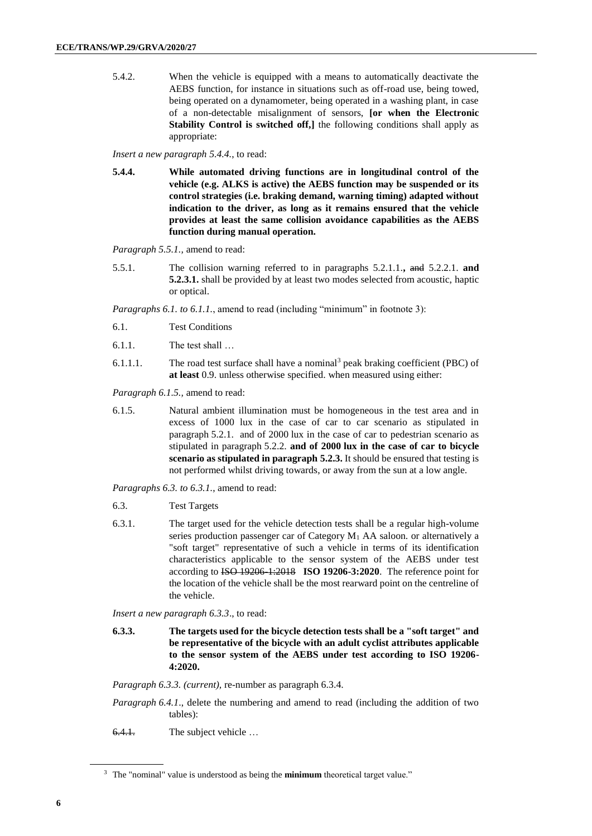5.4.2. When the vehicle is equipped with a means to automatically deactivate the AEBS function, for instance in situations such as off-road use, being towed, being operated on a dynamometer, being operated in a washing plant, in case of a non-detectable misalignment of sensors, **[or when the Electronic Stability Control is switched off,]** the following conditions shall apply as appropriate:

*Insert a new paragraph 5.4.4.*, to read:

**5.4.4. While automated driving functions are in longitudinal control of the vehicle (e.g. ALKS is active) the AEBS function may be suspended or its control strategies (i.e. braking demand, warning timing) adapted without indication to the driver, as long as it remains ensured that the vehicle provides at least the same collision avoidance capabilities as the AEBS function during manual operation.**

*Paragraph 5.5.1.,* amend to read:

5.5.1. The collision warning referred to in paragraphs 5.2.1.1.**,** and 5.2.2.1. **and 5.2.3.1.** shall be provided by at least two modes selected from acoustic, haptic or optical.

*Paragraphs 6.1. to 6.1.1.*, amend to read (including "minimum" in footnote 3):

- 6.1. Test Conditions
- 6.1.1. The test shall …
- 6.1.1.1. The road test surface shall have a nominal<sup>3</sup> peak braking coefficient (PBC) of **at least** 0.9. unless otherwise specified. when measured using either:

*Paragraph 6.1.5.,* amend to read:

6.1.5. Natural ambient illumination must be homogeneous in the test area and in excess of 1000 lux in the case of car to car scenario as stipulated in paragraph 5.2.1. and of 2000 lux in the case of car to pedestrian scenario as stipulated in paragraph 5.2.2. **and of 2000 lux in the case of car to bicycle scenario as stipulated in paragraph 5.2.3.** It should be ensured that testing is not performed whilst driving towards, or away from the sun at a low angle.

*Paragraphs 6.3. to 6.3.1.*, amend to read:

- 6.3. Test Targets
- 6.3.1. The target used for the vehicle detection tests shall be a regular high-volume series production passenger car of Category  $M_1$  AA saloon. or alternatively a "soft target" representative of such a vehicle in terms of its identification characteristics applicable to the sensor system of the AEBS under test according to ISO 19206-1:2018 **ISO 19206-3:2020**. The reference point for the location of the vehicle shall be the most rearward point on the centreline of the vehicle.

*Insert a new paragraph 6.3.3*., to read:

**6.3.3. The targets used for the bicycle detection tests shall be a "soft target" and be representative of the bicycle with an adult cyclist attributes applicable to the sensor system of the AEBS under test according to ISO 19206- 4:2020.**

*Paragraph 6.3.3. (current),* re-number as paragraph 6.3.4.

*Paragraph 6.4.1*., delete the numbering and amend to read (including the addition of two tables):

6.4.1. The subject vehicle …

<sup>3</sup> The "nominal" value is understood as being the **minimum** theoretical target value."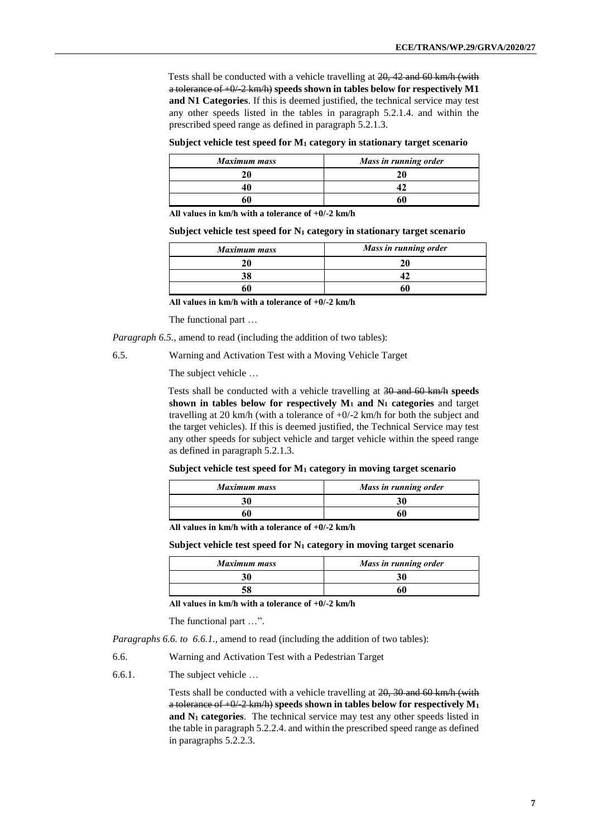Tests shall be conducted with a vehicle travelling at 20, 42 and 60 km/h (with a tolerance of +0/-2 km/h) **speeds shown in tables below for respectively M1 and N1 Categories**. If this is deemed justified, the technical service may test any other speeds listed in the tables in paragraph 5.2.1.4. and within the prescribed speed range as defined in paragraph 5.2.1.3.

#### **Subject vehicle test speed for M<sup>1</sup> category in stationary target scenario**

| <b>Maximum mass</b> | Mass in running order |
|---------------------|-----------------------|
|                     |                       |
|                     |                       |
|                     |                       |

**All values in km/h with a tolerance of +0/-2 km/h**

#### **Subject vehicle test speed for N<sup>1</sup> category in stationary target scenario**

| <b>Maximum mass</b> | Mass in running order |
|---------------------|-----------------------|
|                     |                       |
|                     |                       |
|                     |                       |

**All values in km/h with a tolerance of +0/-2 km/h**

The functional part …

*Paragraph 6.5.*, amend to read (including the addition of two tables):

6.5. Warning and Activation Test with a Moving Vehicle Target

The subject vehicle …

Tests shall be conducted with a vehicle travelling at 30 and 60 km/h **speeds shown in tables below for respectively M<sup>1</sup> and N<sup>1</sup> categories** and target travelling at 20 km/h (with a tolerance of  $+0/-2$  km/h for both the subject and the target vehicles). If this is deemed justified, the Technical Service may test any other speeds for subject vehicle and target vehicle within the speed range as defined in paragraph 5.2.1.3.

#### **Subject vehicle test speed for M<sup>1</sup> category in moving target scenario**

| Maximum mass | Mass in running order |
|--------------|-----------------------|
| 30           |                       |
|              |                       |

**All values in km/h with a tolerance of +0/-2 km/h**

**Subject vehicle test speed for N<sup>1</sup> category in moving target scenario**

| Maximum mass | Mass in running order |
|--------------|-----------------------|
| 30           |                       |
| 58           | 60                    |

**All values in km/h with a tolerance of +0/-2 km/h**

The functional part …".

*Paragraphs 6.6. to 6.6.1.*, amend to read (including the addition of two tables):

6.6. Warning and Activation Test with a Pedestrian Target

6.6.1. The subject vehicle …

Tests shall be conducted with a vehicle travelling at 20, 30 and 60 km/h (with a tolerance of  $+0/2$  km/h) speeds shown in tables below for respectively  $M_1$ **and N<sup>1</sup> categories**. The technical service may test any other speeds listed in the table in paragraph 5.2.2.4. and within the prescribed speed range as defined in paragraphs 5.2.2.3.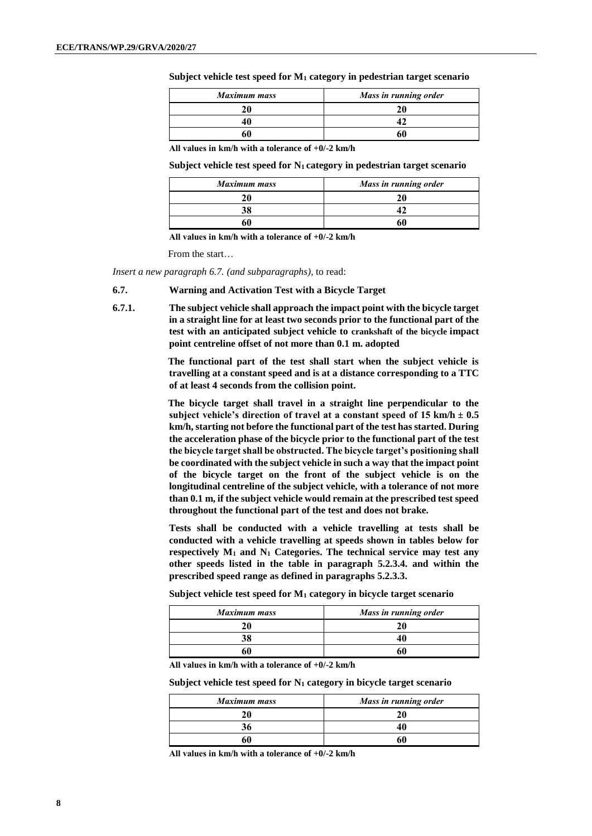**Subject vehicle test speed for M<sup>1</sup> category in pedestrian target scenario**

| <b>Maximum mass</b> | Mass in running order |
|---------------------|-----------------------|
| 20                  |                       |
| 40                  |                       |
| 60                  |                       |

**All values in km/h with a tolerance of +0/-2 km/h**

**Subject vehicle test speed for N1 category in pedestrian target scenario**

| <b>Maximum mass</b> | Mass in running order |
|---------------------|-----------------------|
| 20                  |                       |
| 38                  |                       |
| 60                  |                       |

**All values in km/h with a tolerance of +0/-2 km/h**

From the start…

*Insert a new paragraph 6.7. (and subparagraphs)*, to read:

- **6.7. Warning and Activation Test with a Bicycle Target**
- **6.7.1. The subject vehicle shall approach the impact point with the bicycle target in a straight line for at least two seconds prior to the functional part of the test with an anticipated subject vehicle to crankshaft of the bicycle impact point centreline offset of not more than 0.1 m. adopted**

**The functional part of the test shall start when the subject vehicle is travelling at a constant speed and is at a distance corresponding to a TTC of at least 4 seconds from the collision point.**

**The bicycle target shall travel in a straight line perpendicular to the**  subject vehicle's direction of travel at a constant speed of  $15 \text{ km/h} \pm 0.5$ **km/h, starting not before the functional part of the test has started. During the acceleration phase of the bicycle prior to the functional part of the test the bicycle target shall be obstructed. The bicycle target's positioning shall be coordinated with the subject vehicle in such a way that the impact point of the bicycle target on the front of the subject vehicle is on the longitudinal centreline of the subject vehicle, with a tolerance of not more than 0.1 m, if the subject vehicle would remain at the prescribed test speed throughout the functional part of the test and does not brake.**

**Tests shall be conducted with a vehicle travelling at tests shall be conducted with a vehicle travelling at speeds shown in tables below for respectively M<sup>1</sup> and N<sup>1</sup> Categories. The technical service may test any other speeds listed in the table in paragraph 5.2.3.4. and within the prescribed speed range as defined in paragraphs 5.2.3.3.**

**Subject vehicle test speed for M<sup>1</sup> category in bicycle target scenario**

| <b>Maximum mass</b> | Mass in running order |
|---------------------|-----------------------|
|                     |                       |
|                     |                       |
|                     |                       |

**All values in km/h with a tolerance of +0/-2 km/h**

**Subject vehicle test speed for N<sup>1</sup> category in bicycle target scenario**

| <b>Maximum mass</b> | Mass in running order |
|---------------------|-----------------------|
| 20                  |                       |
| 36                  |                       |
| 60                  | ור                    |

**All values in km/h with a tolerance of +0/-2 km/h**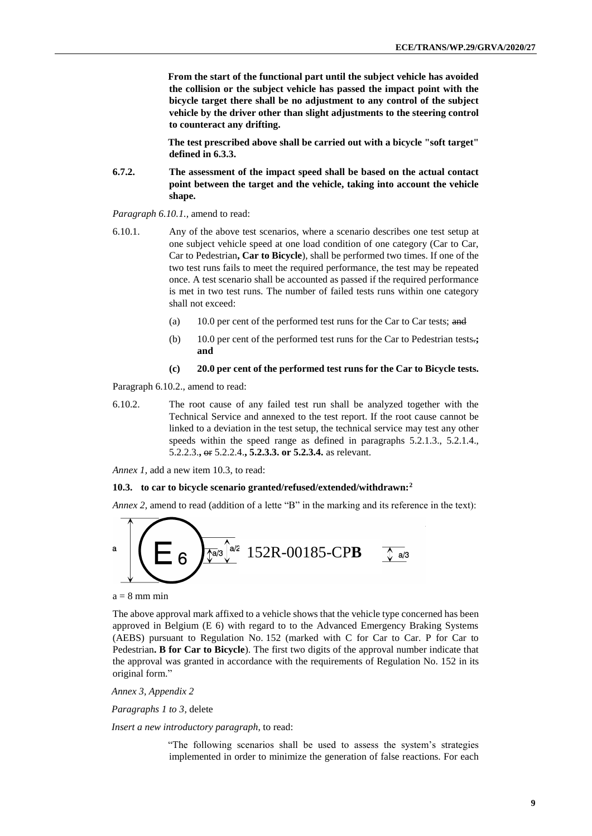**From the start of the functional part until the subject vehicle has avoided the collision or the subject vehicle has passed the impact point with the bicycle target there shall be no adjustment to any control of the subject vehicle by the driver other than slight adjustments to the steering control to counteract any drifting.** 

**The test prescribed above shall be carried out with a bicycle "soft target" defined in 6.3.3.**

**6.7.2. The assessment of the impact speed shall be based on the actual contact point between the target and the vehicle, taking into account the vehicle shape.**

*Paragraph 6.10.1.,* amend to read:

- 6.10.1. Any of the above test scenarios, where a scenario describes one test setup at one subject vehicle speed at one load condition of one category (Car to Car, Car to Pedestrian**, Car to Bicycle**), shall be performed two times. If one of the two test runs fails to meet the required performance, the test may be repeated once. A test scenario shall be accounted as passed if the required performance is met in two test runs. The number of failed tests runs within one category shall not exceed:
	- (a) 10.0 per cent of the performed test runs for the Car to Car tests; and
	- (b) 10.0 per cent of the performed test runs for the Car to Pedestrian tests.**; and**

#### **(c) 20.0 per cent of the performed test runs for the Car to Bicycle tests.**

Paragraph 6.10.2., amend to read:

6.10.2. The root cause of any failed test run shall be analyzed together with the Technical Service and annexed to the test report. If the root cause cannot be linked to a deviation in the test setup, the technical service may test any other speeds within the speed range as defined in paragraphs 5.2.1.3., 5.2.1.4., 5.2.2.3.**,** or 5.2.2.4.**, 5.2.3.3. or 5.2.3.4.** as relevant.

*Annex 1,* add a new item 10.3, to read:

#### **10.3. to car to bicycle scenario granted/refused/extended/withdrawn:<sup>2</sup>**

*Annex 2,* amend to read (addition of a lette "B" in the marking and its reference in the text):



 $a = 8$  mm min

The above approval mark affixed to a vehicle shows that the vehicle type concerned has been approved in Belgium (E 6) with regard to to the Advanced Emergency Braking Systems (AEBS) pursuant to Regulation No. 152 (marked with C for Car to Car. P for Car to Pedestrian**. B for Car to Bicycle**). The first two digits of the approval number indicate that the approval was granted in accordance with the requirements of Regulation No. 152 in its original form."

*Annex 3, Appendix 2*

*Paragraphs 1 to 3*, delete

*Insert a new introductory paragraph*, to read:

"The following scenarios shall be used to assess the system's strategies implemented in order to minimize the generation of false reactions. For each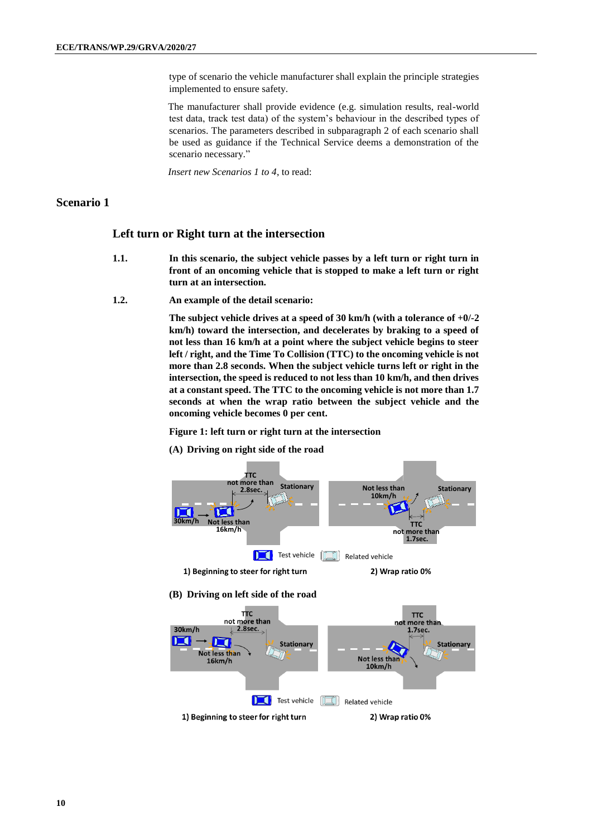type of scenario the vehicle manufacturer shall explain the principle strategies implemented to ensure safety.

The manufacturer shall provide evidence (e.g. simulation results, real-world test data, track test data) of the system's behaviour in the described types of scenarios. The parameters described in subparagraph 2 of each scenario shall be used as guidance if the Technical Service deems a demonstration of the scenario necessary."

*Insert new Scenarios 1 to 4*, to read:

## **Scenario 1**

### **Left turn or Right turn at the intersection**

- **1.1. In this scenario, the subject vehicle passes by a left turn or right turn in front of an oncoming vehicle that is stopped to make a left turn or right turn at an intersection.**
- **1.2. An example of the detail scenario:**

**The subject vehicle drives at a speed of 30 km/h (with a tolerance of +0/-2 km/h) toward the intersection, and decelerates by braking to a speed of not less than 16 km/h at a point where the subject vehicle begins to steer left / right, and the Time To Collision (TTC) to the oncoming vehicle is not more than 2.8 seconds. When the subject vehicle turns left or right in the intersection, the speed is reduced to not less than 10 km/h, and then drives at a constant speed. The TTC to the oncoming vehicle is not more than 1.7 seconds at when the wrap ratio between the subject vehicle and the oncoming vehicle becomes 0 per cent.**

#### **Figure 1: left turn or right turn at the intersection**

**(A) Driving on right side of the road**



Test vehicle **II** Related vehicle

1) Beginning to steer for right turn 2) Wrap ratio 0%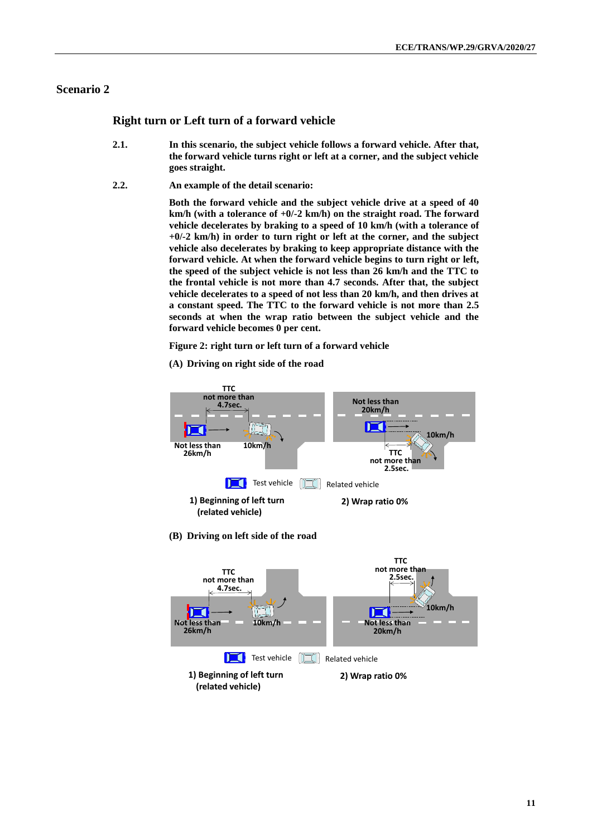## **Scenario 2**

## **Right turn or Left turn of a forward vehicle**

- **2.1. In this scenario, the subject vehicle follows a forward vehicle. After that, the forward vehicle turns right or left at a corner, and the subject vehicle goes straight.**
- **2.2. An example of the detail scenario:**

**Both the forward vehicle and the subject vehicle drive at a speed of 40 km/h (with a tolerance of +0/-2 km/h) on the straight road. The forward vehicle decelerates by braking to a speed of 10 km/h (with a tolerance of +0/-2 km/h) in order to turn right or left at the corner, and the subject vehicle also decelerates by braking to keep appropriate distance with the forward vehicle. At when the forward vehicle begins to turn right or left, the speed of the subject vehicle is not less than 26 km/h and the TTC to the frontal vehicle is not more than 4.7 seconds. After that, the subject vehicle decelerates to a speed of not less than 20 km/h, and then drives at a constant speed. The TTC to the forward vehicle is not more than 2.5 seconds at when the wrap ratio between the subject vehicle and the forward vehicle becomes 0 per cent.** 

**Figure 2: right turn or left turn of a forward vehicle**

**(A) Driving on right side of the road**



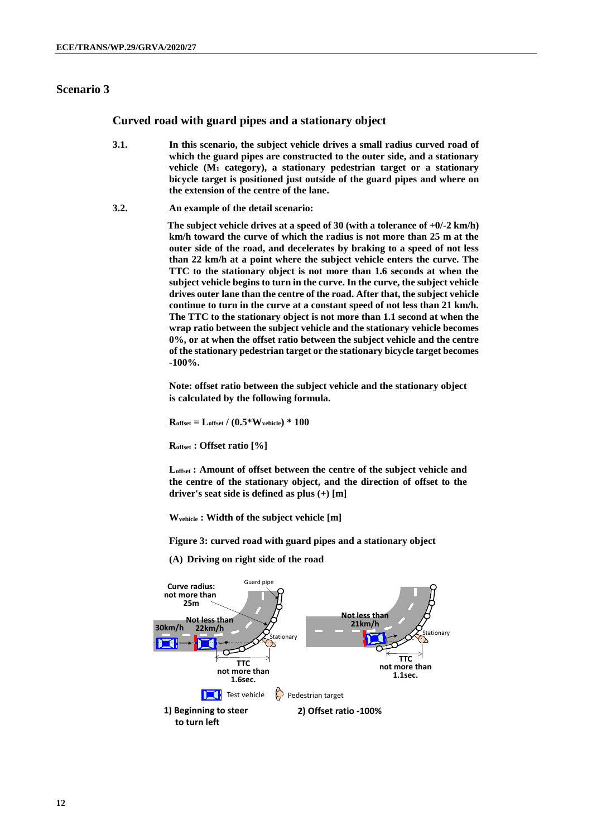## **Scenario 3**

### **Curved road with guard pipes and a stationary object**

- **3.1. In this scenario, the subject vehicle drives a small radius curved road of which the guard pipes are constructed to the outer side, and a stationary vehicle (M<sup>1</sup> category), a stationary pedestrian target or a stationary bicycle target is positioned just outside of the guard pipes and where on the extension of the centre of the lane.**
- **3.2. An example of the detail scenario:**

**The subject vehicle drives at a speed of 30 (with a tolerance of +0/-2 km/h) km/h toward the curve of which the radius is not more than 25 m at the outer side of the road, and decelerates by braking to a speed of not less than 22 km/h at a point where the subject vehicle enters the curve. The TTC to the stationary object is not more than 1.6 seconds at when the subject vehicle begins to turn in the curve. In the curve, the subject vehicle drives outer lane than the centre of the road. After that, the subject vehicle continue to turn in the curve at a constant speed of not less than 21 km/h. The TTC to the stationary object is not more than 1.1 second at when the wrap ratio between the subject vehicle and the stationary vehicle becomes 0%, or at when the offset ratio between the subject vehicle and the centre of the stationary pedestrian target or the stationary bicycle target becomes -100%.** 

**Note: offset ratio between the subject vehicle and the stationary object is calculated by the following formula.**

 $R_{offset} = L_{offset} / (0.5*W_{vehicle}) * 100$ 

**Roffset : Offset ratio [%]**

**Loffset : Amount of offset between the centre of the subject vehicle and the centre of the stationary object, and the direction of offset to the driver's seat side is defined as plus (+) [m]**

**Wvehicle : Width of the subject vehicle [m]** 

**Figure 3: curved road with guard pipes and a stationary object**

**(A) Driving on right side of the road**

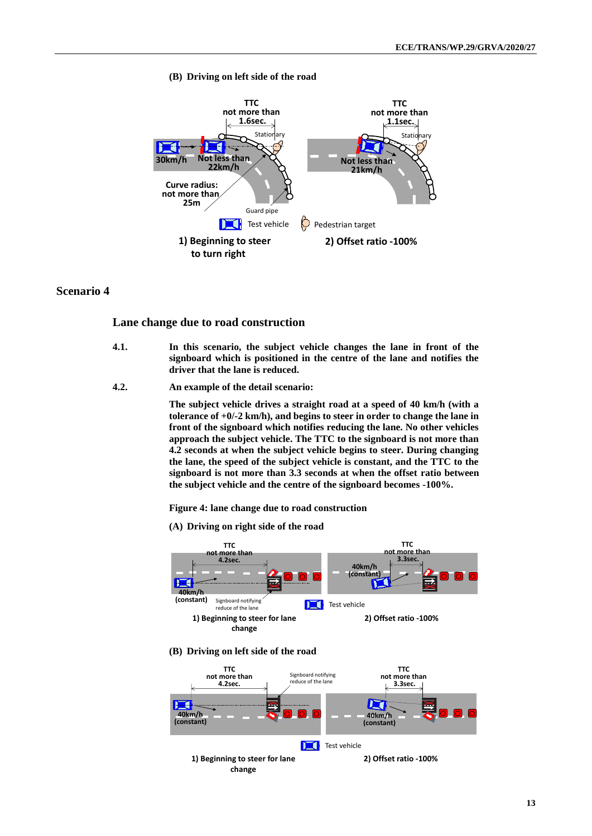**(B) Driving on left side of the road**



## **Scenario 4**

#### **Lane change due to road construction**

- **4.1. In this scenario, the subject vehicle changes the lane in front of the signboard which is positioned in the centre of the lane and notifies the driver that the lane is reduced.**
- **4.2. An example of the detail scenario:**

**The subject vehicle drives a straight road at a speed of 40 km/h (with a tolerance of +0/-2 km/h), and begins to steer in order to change the lane in front of the signboard which notifies reducing the lane. No other vehicles approach the subject vehicle. The TTC to the signboard is not more than 4.2 seconds at when the subject vehicle begins to steer. During changing the lane, the speed of the subject vehicle is constant, and the TTC to the signboard is not more than 3.3 seconds at when the offset ratio between the subject vehicle and the centre of the signboard becomes -100%.** 

**Figure 4: lane change due to road construction**

**(A) Driving on right side of the road**